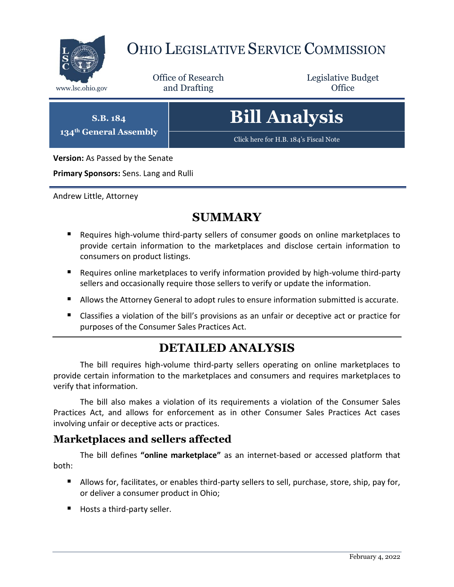

## OHIO LEGISLATIVE SERVICE COMMISSION

Office of Research www.lsc.ohio.gov **and Drafting Office** 

Legislative Budget

**S.B. 184 134th General Assembly**

# **Bill Analysis**

[Click here for H.B. 184](https://www.legislature.ohio.gov/legislation/legislation-documents?id=GA134-SB-184)'s Fiscal Note

**Version:** As Passed by the Senate

**Primary Sponsors:** Sens. Lang and Rulli

Andrew Little, Attorney

## **SUMMARY**

- Requires high-volume third-party sellers of consumer goods on online marketplaces to provide certain information to the marketplaces and disclose certain information to consumers on product listings.
- Requires online marketplaces to verify information provided by high-volume third-party sellers and occasionally require those sellers to verify or update the information.
- Allows the Attorney General to adopt rules to ensure information submitted is accurate.
- Classifies a violation of the bill's provisions as an unfair or deceptive act or practice for purposes of the Consumer Sales Practices Act.

## **DETAILED ANALYSIS**

The bill requires high-volume third-party sellers operating on online marketplaces to provide certain information to the marketplaces and consumers and requires marketplaces to verify that information.

The bill also makes a violation of its requirements a violation of the Consumer Sales Practices Act, and allows for enforcement as in other Consumer Sales Practices Act cases involving unfair or deceptive acts or practices.

#### **Marketplaces and sellers affected**

The bill defines **"online marketplace"** as an internet-based or accessed platform that both:

- Allows for, facilitates, or enables third-party sellers to sell, purchase, store, ship, pay for, or deliver a consumer product in Ohio;
- Hosts a third-party seller.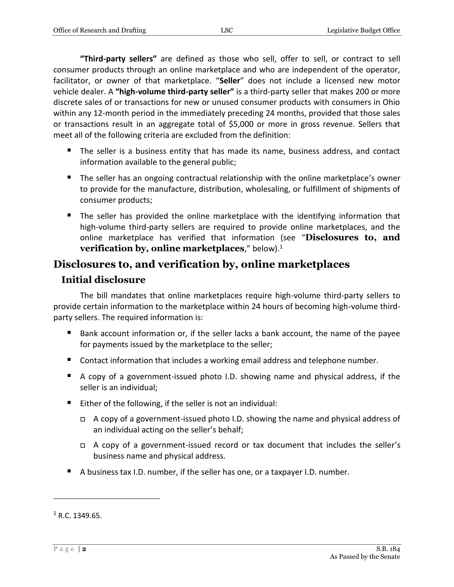**"Third-party sellers"** are defined as those who sell, offer to sell, or contract to sell consumer products through an online marketplace and who are independent of the operator, facilitator, or owner of that marketplace. "**Seller**" does not include a licensed new motor vehicle dealer. A **"high-volume third-party seller"** is a third-party seller that makes 200 or more discrete sales of or transactions for new or unused consumer products with consumers in Ohio within any 12-month period in the immediately preceding 24 months, provided that those sales or transactions result in an aggregate total of \$5,000 or more in gross revenue. Sellers that meet all of the following criteria are excluded from the definition:

- The seller is a business entity that has made its name, business address, and contact information available to the general public;
- **The seller has an ongoing contractual relationship with the online marketplace's owner** to provide for the manufacture, distribution, wholesaling, or fulfillment of shipments of consumer products;
- **The seller has provided the online marketplace with the identifying information that** high-volume third-party sellers are required to provide online marketplaces, and the online marketplace has verified that information (see "**Disclosures to, and verification by, online marketplaces**," below).<sup>1</sup>

#### **Disclosures to, and verification by, online marketplaces**

#### **Initial disclosure**

The bill mandates that online marketplaces require high-volume third-party sellers to provide certain information to the marketplace within 24 hours of becoming high-volume thirdparty sellers. The required information is:

- Bank account information or, if the seller lacks a bank account, the name of the payee for payments issued by the marketplace to the seller;
- Contact information that includes a working email address and telephone number.
- A copy of a government-issued photo I.D. showing name and physical address, if the seller is an individual;
- $\blacksquare$  Either of the following, if the seller is not an individual:
	- A copy of a government-issued photo I.D. showing the name and physical address of an individual acting on the seller's behalf;
	- $\Box$  A copy of a government-issued record or tax document that includes the seller's business name and physical address.
- A business tax I.D. number, if the seller has one, or a taxpayer I.D. number.

 $1 R.C. 1349.65.$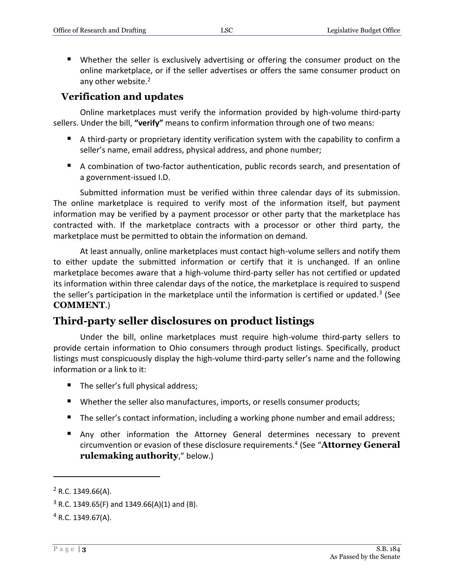Whether the seller is exclusively advertising or offering the consumer product on the online marketplace, or if the seller advertises or offers the same consumer product on any other website.<sup>2</sup>

#### **Verification and updates**

Online marketplaces must verify the information provided by high-volume third-party sellers. Under the bill, **"verify"** means to confirm information through one of two means:

- A third-party or proprietary identity verification system with the capability to confirm a seller's name, email address, physical address, and phone number;
- A combination of two-factor authentication, public records search, and presentation of a government-issued I.D.

Submitted information must be verified within three calendar days of its submission. The online marketplace is required to verify most of the information itself, but payment information may be verified by a payment processor or other party that the marketplace has contracted with. If the marketplace contracts with a processor or other third party, the marketplace must be permitted to obtain the information on demand.

At least annually, online marketplaces must contact high-volume sellers and notify them to either update the submitted information or certify that it is unchanged. If an online marketplace becomes aware that a high-volume third-party seller has not certified or updated its information within three calendar days of the notice, the marketplace is required to suspend the seller's participation in the marketplace until the information is certified or updated.<sup>3</sup> (See **COMMENT**.)

#### **Third-party seller disclosures on product listings**

Under the bill, online marketplaces must require high-volume third-party sellers to provide certain information to Ohio consumers through product listings. Specifically, product listings must conspicuously display the high-volume third-party seller's name and the following information or a link to it:

- The seller's full physical address;
- Whether the seller also manufactures, imports, or resells consumer products;
- The seller's contact information, including a working phone number and email address;
- Any other information the Attorney General determines necessary to prevent circumvention or evasion of these disclosure requirements.<sup>4</sup> (See "**Attorney General rulemaking authority**," below.)

 $2$  R.C. 1349.66(A).

 $3$  R.C. 1349.65(F) and 1349.66(A)(1) and (B).

 $4$  R.C. 1349.67(A).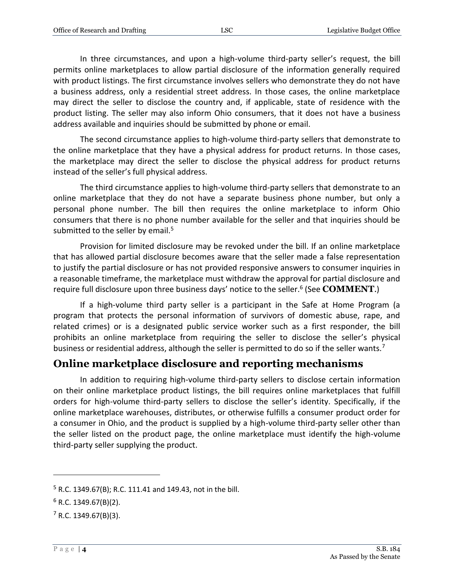In three circumstances, and upon a high-volume third-party seller's request, the bill permits online marketplaces to allow partial disclosure of the information generally required with product listings. The first circumstance involves sellers who demonstrate they do not have a business address, only a residential street address. In those cases, the online marketplace may direct the seller to disclose the country and, if applicable, state of residence with the product listing. The seller may also inform Ohio consumers, that it does not have a business address available and inquiries should be submitted by phone or email.

The second circumstance applies to high-volume third-party sellers that demonstrate to the online marketplace that they have a physical address for product returns. In those cases, the marketplace may direct the seller to disclose the physical address for product returns instead of the seller's full physical address.

The third circumstance applies to high-volume third-party sellers that demonstrate to an online marketplace that they do not have a separate business phone number, but only a personal phone number. The bill then requires the online marketplace to inform Ohio consumers that there is no phone number available for the seller and that inquiries should be submitted to the seller by email.<sup>5</sup>

Provision for limited disclosure may be revoked under the bill. If an online marketplace that has allowed partial disclosure becomes aware that the seller made a false representation to justify the partial disclosure or has not provided responsive answers to consumer inquiries in a reasonable timeframe, the marketplace must withdraw the approval for partial disclosure and require full disclosure upon three business days' notice to the seller.<sup>6</sup> (See **COMMENT**.)

If a high-volume third party seller is a participant in the Safe at Home Program (a program that protects the personal information of survivors of domestic abuse, rape, and related crimes) or is a designated public service worker such as a first responder, the bill prohibits an online marketplace from requiring the seller to disclose the seller's physical business or residential address, although the seller is permitted to do so if the seller wants.<sup>7</sup>

#### **Online marketplace disclosure and reporting mechanisms**

In addition to requiring high-volume third-party sellers to disclose certain information on their online marketplace product listings, the bill requires online marketplaces that fulfill orders for high-volume third-party sellers to disclose the seller's identity. Specifically, if the online marketplace warehouses, distributes, or otherwise fulfills a consumer product order for a consumer in Ohio, and the product is supplied by a high-volume third-party seller other than the seller listed on the product page, the online marketplace must identify the high-volume third-party seller supplying the product.

<sup>5</sup> R.C. 1349.67(B); R.C. 111.41 and 149.43, not in the bill.

 $6$  R.C. 1349.67(B)(2).

 $<sup>7</sup>$  R.C. 1349.67(B)(3).</sup>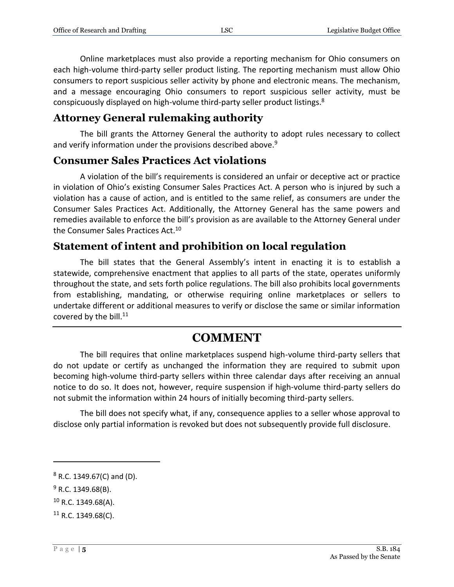Online marketplaces must also provide a reporting mechanism for Ohio consumers on each high-volume third-party seller product listing. The reporting mechanism must allow Ohio consumers to report suspicious seller activity by phone and electronic means. The mechanism, and a message encouraging Ohio consumers to report suspicious seller activity, must be conspicuously displayed on high-volume third-party seller product listings.<sup>8</sup>

#### **Attorney General rulemaking authority**

The bill grants the Attorney General the authority to adopt rules necessary to collect and verify information under the provisions described above.<sup>9</sup>

#### **Consumer Sales Practices Act violations**

A violation of the bill's requirements is considered an unfair or deceptive act or practice in violation of Ohio's existing Consumer Sales Practices Act. A person who is injured by such a violation has a cause of action, and is entitled to the same relief, as consumers are under the Consumer Sales Practices Act. Additionally, the Attorney General has the same powers and remedies available to enforce the bill's provision as are available to the Attorney General under the Consumer Sales Practices Act.<sup>10</sup>

#### **Statement of intent and prohibition on local regulation**

The bill states that the General Assembly's intent in enacting it is to establish a statewide, comprehensive enactment that applies to all parts of the state, operates uniformly throughout the state, and sets forth police regulations. The bill also prohibits local governments from establishing, mandating, or otherwise requiring online marketplaces or sellers to undertake different or additional measures to verify or disclose the same or similar information covered by the bill.<sup>11</sup>

### **COMMENT**

The bill requires that online marketplaces suspend high-volume third-party sellers that do not update or certify as unchanged the information they are required to submit upon becoming high-volume third-party sellers within three calendar days after receiving an annual notice to do so. It does not, however, require suspension if high-volume third-party sellers do not submit the information within 24 hours of initially becoming third-party sellers.

The bill does not specify what, if any, consequence applies to a seller whose approval to disclose only partial information is revoked but does not subsequently provide full disclosure.

 $8$  R.C. 1349.67(C) and (D).

 $9$  R.C. 1349.68(B).

 $10$  R.C. 1349.68(A).

 $11$  R.C. 1349.68(C).